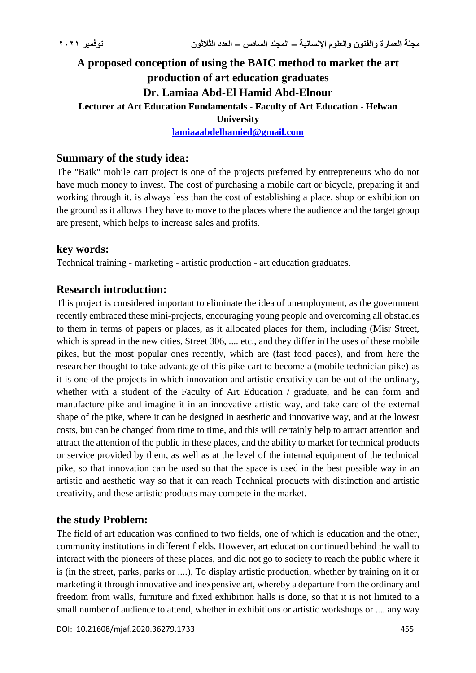# **A proposed conception of using the BAIC method to market the art production of art education graduates Dr. Lamiaa Abd-El Hamid Abd-Elnour Lecturer at Art Education Fundamentals - Faculty of Art Education - Helwan University**

**[lamiaaabdelhamied@gmail.com](mailto:lamiaaabdelhamied@gmail.com)**

# **Summary of the study idea:**

The "Baik" mobile cart project is one of the projects preferred by entrepreneurs who do not have much money to invest. The cost of purchasing a mobile cart or bicycle, preparing it and working through it, is always less than the cost of establishing a place, shop or exhibition on the ground as it allows They have to move to the places where the audience and the target group are present, which helps to increase sales and profits.

# **key words:**

Technical training - marketing - artistic production - art education graduates.

# **Research introduction:**

This project is considered important to eliminate the idea of unemployment, as the government recently embraced these mini-projects, encouraging young people and overcoming all obstacles to them in terms of papers or places, as it allocated places for them, including (Misr Street, which is spread in the new cities, Street 306, .... etc., and they differ in The uses of these mobile pikes, but the most popular ones recently, which are (fast food paecs), and from here the researcher thought to take advantage of this pike cart to become a (mobile technician pike) as it is one of the projects in which innovation and artistic creativity can be out of the ordinary, whether with a student of the Faculty of Art Education / graduate, and he can form and manufacture pike and imagine it in an innovative artistic way, and take care of the external shape of the pike, where it can be designed in aesthetic and innovative way, and at the lowest costs, but can be changed from time to time, and this will certainly help to attract attention and attract the attention of the public in these places, and the ability to market for technical products or service provided by them, as well as at the level of the internal equipment of the technical pike, so that innovation can be used so that the space is used in the best possible way in an artistic and aesthetic way so that it can reach Technical products with distinction and artistic creativity, and these artistic products may compete in the market.

# **the study Problem:**

The field of art education was confined to two fields, one of which is education and the other, community institutions in different fields. However, art education continued behind the wall to interact with the pioneers of these places, and did not go to society to reach the public where it is (in the street, parks, parks or ....), To display artistic production, whether by training on it or marketing it through innovative and inexpensive art, whereby a departure from the ordinary and freedom from walls, furniture and fixed exhibition halls is done, so that it is not limited to a small number of audience to attend, whether in exhibitions or artistic workshops or .... any way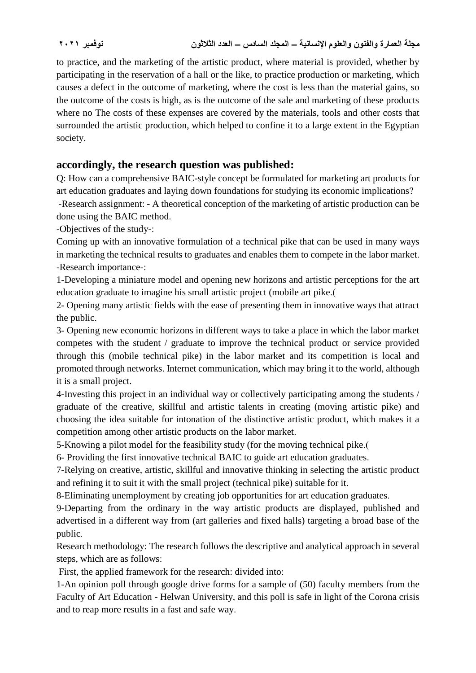to practice, and the marketing of the artistic product, where material is provided, whether by participating in the reservation of a hall or the like, to practice production or marketing, which causes a defect in the outcome of marketing, where the cost is less than the material gains, so the outcome of the costs is high, as is the outcome of the sale and marketing of these products where no The costs of these expenses are covered by the materials, tools and other costs that surrounded the artistic production, which helped to confine it to a large extent in the Egyptian society.

# **accordingly, the research question was published:**

Q: How can a comprehensive BAIC-style concept be formulated for marketing art products for art education graduates and laying down foundations for studying its economic implications?

-Research assignment: - A theoretical conception of the marketing of artistic production can be done using the BAIC method.

-Objectives of the study-:

Coming up with an innovative formulation of a technical pike that can be used in many ways in marketing the technical results to graduates and enables them to compete in the labor market. -Research importance-:

1-Developing a miniature model and opening new horizons and artistic perceptions for the art education graduate to imagine his small artistic project (mobile art pike.)

2- Opening many artistic fields with the ease of presenting them in innovative ways that attract the public.

3- Opening new economic horizons in different ways to take a place in which the labor market competes with the student / graduate to improve the technical product or service provided through this (mobile technical pike) in the labor market and its competition is local and promoted through networks. Internet communication, which may bring it to the world, although it is a small project.

4-Investing this project in an individual way or collectively participating among the students / graduate of the creative, skillful and artistic talents in creating (moving artistic pike) and choosing the idea suitable for intonation of the distinctive artistic product, which makes it a competition among other artistic products on the labor market.

5-Knowing a pilot model for the feasibility study (for the moving technical pike.)

6- Providing the first innovative technical BAIC to guide art education graduates.

7-Relying on creative, artistic, skillful and innovative thinking in selecting the artistic product and refining it to suit it with the small project (technical pike) suitable for it.

8-Eliminating unemployment by creating job opportunities for art education graduates.

9-Departing from the ordinary in the way artistic products are displayed, published and advertised in a different way from (art galleries and fixed halls) targeting a broad base of the public.

Research methodology: The research follows the descriptive and analytical approach in several steps, which are as follows:

First, the applied framework for the research: divided into:

1-An opinion poll through google drive forms for a sample of (50) faculty members from the Faculty of Art Education - Helwan University, and this poll is safe in light of the Corona crisis and to reap more results in a fast and safe way.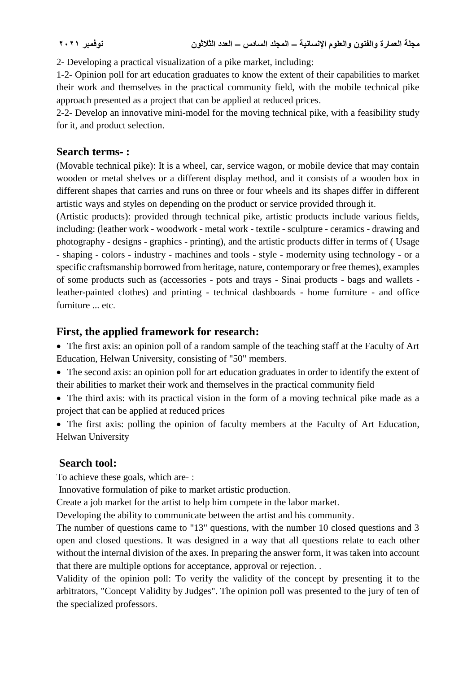2- Developing a practical visualization of a pike market, including:

1-2- Opinion poll for art education graduates to know the extent of their capabilities to market their work and themselves in the practical community field, with the mobile technical pike approach presented as a project that can be applied at reduced prices.

2-2- Develop an innovative mini-model for the moving technical pike, with a feasibility study for it, and product selection.

### **Search terms- :**

(Movable technical pike): It is a wheel, car, service wagon, or mobile device that may contain wooden or metal shelves or a different display method, and it consists of a wooden box in different shapes that carries and runs on three or four wheels and its shapes differ in different artistic ways and styles on depending on the product or service provided through it.

(Artistic products): provided through technical pike, artistic products include various fields, including: (leather work - woodwork - metal work - textile - sculpture - ceramics - drawing and photography - designs - graphics - printing), and the artistic products differ in terms of ( Usage - shaping - colors - industry - machines and tools - style - modernity using technology - or a specific craftsmanship borrowed from heritage, nature, contemporary or free themes), examples of some products such as (accessories - pots and trays - Sinai products - bags and wallets leather-painted clothes) and printing - technical dashboards - home furniture - and office furniture ... etc.

# **First, the applied framework for research:**

• The first axis: an opinion poll of a random sample of the teaching staff at the Faculty of Art Education, Helwan University, consisting of "50" members.

- The second axis: an opinion poll for art education graduates in order to identify the extent of their abilities to market their work and themselves in the practical community field
- The third axis: with its practical vision in the form of a moving technical pike made as a project that can be applied at reduced prices
- The first axis: polling the opinion of faculty members at the Faculty of Art Education, Helwan University

# **Search tool:**

To achieve these goals, which are- :

Innovative formulation of pike to market artistic production.

Create a job market for the artist to help him compete in the labor market.

Developing the ability to communicate between the artist and his community.

The number of questions came to "13" questions, with the number 10 closed questions and 3 open and closed questions. It was designed in a way that all questions relate to each other without the internal division of the axes. In preparing the answer form, it was taken into account that there are multiple options for acceptance, approval or rejection. .

Validity of the opinion poll: To verify the validity of the concept by presenting it to the arbitrators, "Concept Validity by Judges". The opinion poll was presented to the jury of ten of the specialized professors.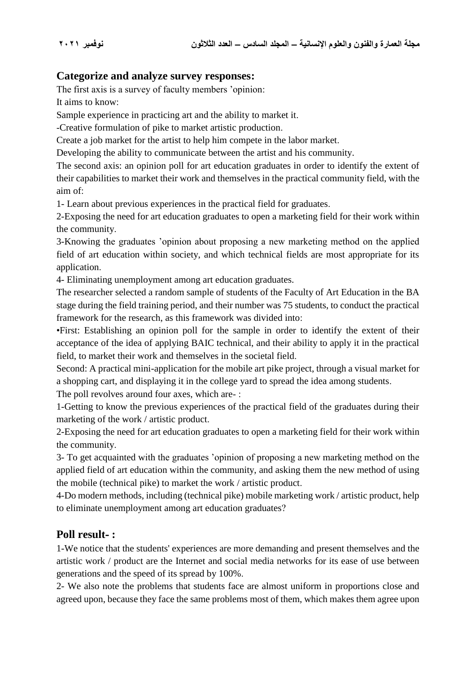# **Categorize and analyze survey responses:**

The first axis is a survey of faculty members 'opinion:

It aims to know:

Sample experience in practicing art and the ability to market it.

-Creative formulation of pike to market artistic production.

Create a job market for the artist to help him compete in the labor market.

Developing the ability to communicate between the artist and his community.

The second axis: an opinion poll for art education graduates in order to identify the extent of their capabilities to market their work and themselves in the practical community field, with the aim of:

1- Learn about previous experiences in the practical field for graduates.

2-Exposing the need for art education graduates to open a marketing field for their work within the community.

3-Knowing the graduates 'opinion about proposing a new marketing method on the applied field of art education within society, and which technical fields are most appropriate for its application.

4- Eliminating unemployment among art education graduates.

The researcher selected a random sample of students of the Faculty of Art Education in the BA stage during the field training period, and their number was 75 students, to conduct the practical framework for the research, as this framework was divided into:

•First: Establishing an opinion poll for the sample in order to identify the extent of their acceptance of the idea of applying BAIC technical, and their ability to apply it in the practical field, to market their work and themselves in the societal field.

Second: A practical mini-application for the mobile art pike project, through a visual market for a shopping cart, and displaying it in the college yard to spread the idea among students.

The poll revolves around four axes, which are- :

1-Getting to know the previous experiences of the practical field of the graduates during their marketing of the work / artistic product.

2-Exposing the need for art education graduates to open a marketing field for their work within the community.

3- To get acquainted with the graduates 'opinion of proposing a new marketing method on the applied field of art education within the community, and asking them the new method of using the mobile (technical pike) to market the work / artistic product.

4-Do modern methods, including (technical pike) mobile marketing work / artistic product, help to eliminate unemployment among art education graduates?

# **Poll result- :**

1-We notice that the students' experiences are more demanding and present themselves and the artistic work / product are the Internet and social media networks for its ease of use between generations and the speed of its spread by 100%.

2- We also note the problems that students face are almost uniform in proportions close and agreed upon, because they face the same problems most of them, which makes them agree upon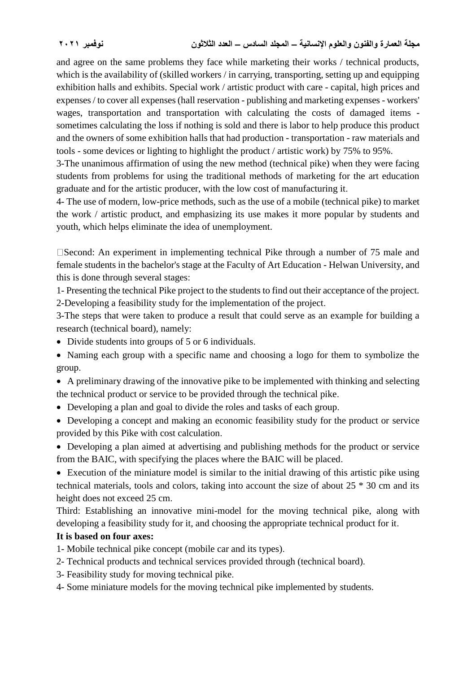and agree on the same problems they face while marketing their works / technical products, which is the availability of (skilled workers / in carrying, transporting, setting up and equipping exhibition halls and exhibits. Special work / artistic product with care - capital, high prices and expenses / to cover all expenses (hall reservation - publishing and marketing expenses - workers' wages, transportation and transportation with calculating the costs of damaged items sometimes calculating the loss if nothing is sold and there is labor to help produce this product and the owners of some exhibition halls that had production - transportation - raw materials and tools - some devices or lighting to highlight the product / artistic work) by 75% to 95%.

3-The unanimous affirmation of using the new method (technical pike) when they were facing students from problems for using the traditional methods of marketing for the art education graduate and for the artistic producer, with the low cost of manufacturing it.

4- The use of modern, low-price methods, such as the use of a mobile (technical pike) to market the work / artistic product, and emphasizing its use makes it more popular by students and youth, which helps eliminate the idea of unemployment.

Second: An experiment in implementing technical Pike through a number of 75 male and female students in the bachelor's stage at the Faculty of Art Education - Helwan University, and this is done through several stages:

1- Presenting the technical Pike project to the students to find out their acceptance of the project. 2-Developing a feasibility study for the implementation of the project.

3-The steps that were taken to produce a result that could serve as an example for building a research (technical board), namely:

- Divide students into groups of 5 or 6 individuals.
- Naming each group with a specific name and choosing a logo for them to symbolize the group.
- A preliminary drawing of the innovative pike to be implemented with thinking and selecting the technical product or service to be provided through the technical pike.
- Developing a plan and goal to divide the roles and tasks of each group.
- Developing a concept and making an economic feasibility study for the product or service provided by this Pike with cost calculation.

 Developing a plan aimed at advertising and publishing methods for the product or service from the BAIC, with specifying the places where the BAIC will be placed.

 Execution of the miniature model is similar to the initial drawing of this artistic pike using technical materials, tools and colors, taking into account the size of about 25 \* 30 cm and its height does not exceed 25 cm.

Third: Establishing an innovative mini-model for the moving technical pike, along with developing a feasibility study for it, and choosing the appropriate technical product for it.

# **It is based on four axes:**

- 1- Mobile technical pike concept (mobile car and its types).
- 2- Technical products and technical services provided through (technical board).
- 3- Feasibility study for moving technical pike.
- 4- Some miniature models for the moving technical pike implemented by students.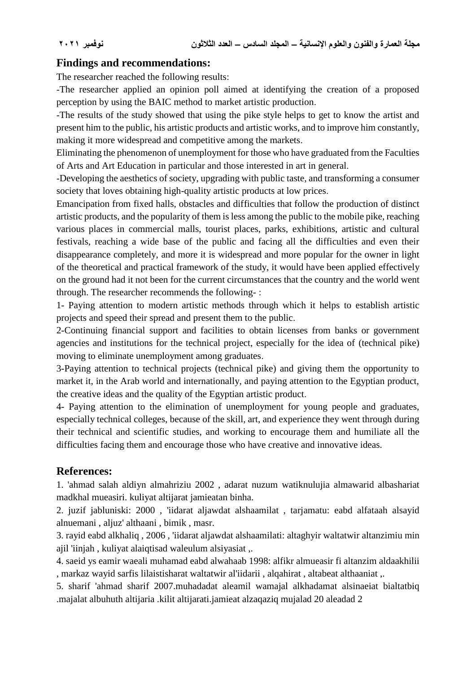# **Findings and recommendations:**

The researcher reached the following results:

-The researcher applied an opinion poll aimed at identifying the creation of a proposed perception by using the BAIC method to market artistic production.

-The results of the study showed that using the pike style helps to get to know the artist and present him to the public, his artistic products and artistic works, and to improve him constantly, making it more widespread and competitive among the markets.

Eliminating the phenomenon of unemployment for those who have graduated from the Faculties of Arts and Art Education in particular and those interested in art in general.

-Developing the aesthetics of society, upgrading with public taste, and transforming a consumer society that loves obtaining high-quality artistic products at low prices.

Emancipation from fixed halls, obstacles and difficulties that follow the production of distinct artistic products, and the popularity of them is less among the public to the mobile pike, reaching various places in commercial malls, tourist places, parks, exhibitions, artistic and cultural festivals, reaching a wide base of the public and facing all the difficulties and even their disappearance completely, and more it is widespread and more popular for the owner in light of the theoretical and practical framework of the study, it would have been applied effectively on the ground had it not been for the current circumstances that the country and the world went through. The researcher recommends the following- :

1- Paying attention to modern artistic methods through which it helps to establish artistic projects and speed their spread and present them to the public.

2-Continuing financial support and facilities to obtain licenses from banks or government agencies and institutions for the technical project, especially for the idea of (technical pike) moving to eliminate unemployment among graduates.

3-Paying attention to technical projects (technical pike) and giving them the opportunity to market it, in the Arab world and internationally, and paying attention to the Egyptian product, the creative ideas and the quality of the Egyptian artistic product.

4- Paying attention to the elimination of unemployment for young people and graduates, especially technical colleges, because of the skill, art, and experience they went through during their technical and scientific studies, and working to encourage them and humiliate all the difficulties facing them and encourage those who have creative and innovative ideas.

# **References:**

1. 'ahmad salah aldiyn almahriziu 2002 , adarat nuzum watiknulujia almawarid albashariat madkhal mueasiri. kuliyat altijarat jamieatan binha.

2. juzif jabluniski: 2000 , 'iidarat aljawdat alshaamilat , tarjamatu: eabd alfataah alsayid alnuemani , aljuz' althaani , bimik , masr.

3. rayid eabd alkhaliq , 2006 , 'iidarat aljawdat alshaamilati: altaghyir waltatwir altanzimiu min ajil 'iinjah , kuliyat alaiqtisad waleulum alsiyasiat ,.

4. saeid ys eamir waeali muhamad eabd alwahaab 1998: alfikr almueasir fi altanzim aldaakhilii , markaz wayid sarfis lilaistisharat waltatwir al'iidarii , alqahirat , altabeat althaaniat ,.

5. sharif 'ahmad sharif 2007.muhadadat aleamil wamajal alkhadamat alsinaeiat bialtatbiq .majalat albuhuth altijaria .kilit altijarati.jamieat alzaqaziq mujalad 20 aleadad 2